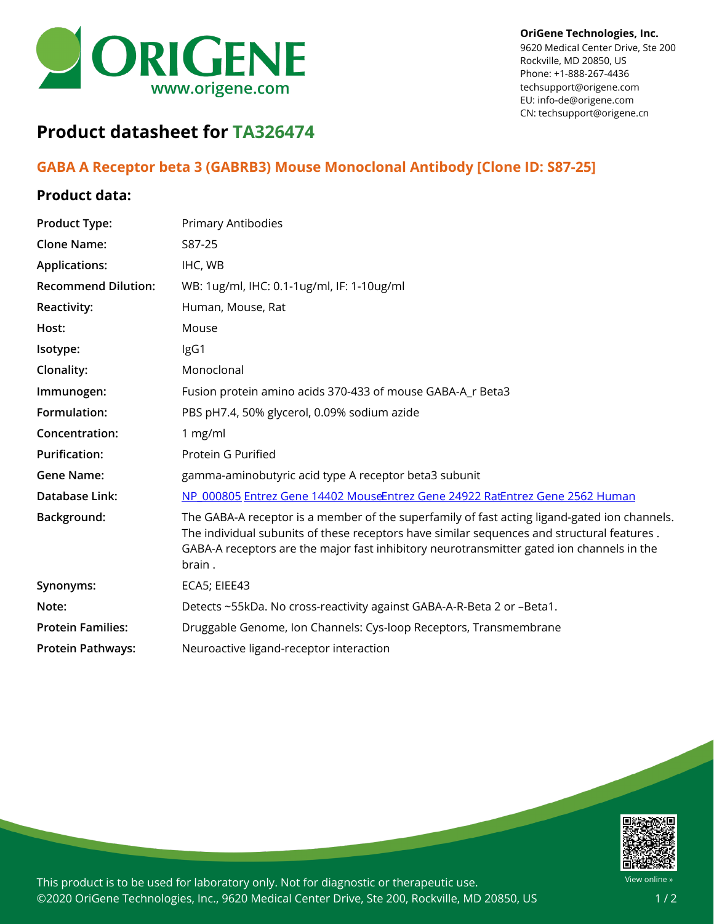

**OriGene Technologies, Inc.**

9620 Medical Center Drive, Ste 200 Rockville, MD 20850, US Phone: +1-888-267-4436 techsupport@origene.com EU: info-de@origene.com CN: techsupport@origene.cn

## **Product datasheet for TA326474**

## **GABA A Receptor beta 3 (GABRB3) Mouse Monoclonal Antibody [Clone ID: S87-25]**

## **Product data:**

| <b>Product Type:</b>       | <b>Primary Antibodies</b>                                                                                                                                                                                                                                                                         |
|----------------------------|---------------------------------------------------------------------------------------------------------------------------------------------------------------------------------------------------------------------------------------------------------------------------------------------------|
| <b>Clone Name:</b>         | S87-25                                                                                                                                                                                                                                                                                            |
| <b>Applications:</b>       | IHC, WB                                                                                                                                                                                                                                                                                           |
| <b>Recommend Dilution:</b> | WB: 1ug/ml, IHC: 0.1-1ug/ml, IF: 1-10ug/ml                                                                                                                                                                                                                                                        |
| <b>Reactivity:</b>         | Human, Mouse, Rat                                                                                                                                                                                                                                                                                 |
| Host:                      | Mouse                                                                                                                                                                                                                                                                                             |
| Isotype:                   | IgG1                                                                                                                                                                                                                                                                                              |
| Clonality:                 | Monoclonal                                                                                                                                                                                                                                                                                        |
| Immunogen:                 | Fusion protein amino acids 370-433 of mouse GABA-A_r Beta3                                                                                                                                                                                                                                        |
| Formulation:               | PBS pH7.4, 50% glycerol, 0.09% sodium azide                                                                                                                                                                                                                                                       |
| Concentration:             | 1 $mg/ml$                                                                                                                                                                                                                                                                                         |
| <b>Purification:</b>       | Protein G Purified                                                                                                                                                                                                                                                                                |
| <b>Gene Name:</b>          | gamma-aminobutyric acid type A receptor beta3 subunit                                                                                                                                                                                                                                             |
| Database Link:             | NP 000805 Entrez Gene 14402 MouseEntrez Gene 24922 RatEntrez Gene 2562 Human                                                                                                                                                                                                                      |
| Background:                | The GABA-A receptor is a member of the superfamily of fast acting ligand-gated ion channels.<br>The individual subunits of these receptors have similar sequences and structural features.<br>GABA-A receptors are the major fast inhibitory neurotransmitter gated ion channels in the<br>brain. |
| Synonyms:                  | ECA5; EIEE43                                                                                                                                                                                                                                                                                      |
| Note:                      | Detects ~55kDa. No cross-reactivity against GABA-A-R-Beta 2 or -Beta1.                                                                                                                                                                                                                            |
| <b>Protein Families:</b>   | Druggable Genome, Ion Channels: Cys-loop Receptors, Transmembrane                                                                                                                                                                                                                                 |
| <b>Protein Pathways:</b>   | Neuroactive ligand-receptor interaction                                                                                                                                                                                                                                                           |



This product is to be used for laboratory only. Not for diagnostic or therapeutic use. ©2020 OriGene Technologies, Inc., 9620 Medical Center Drive, Ste 200, Rockville, MD 20850, US